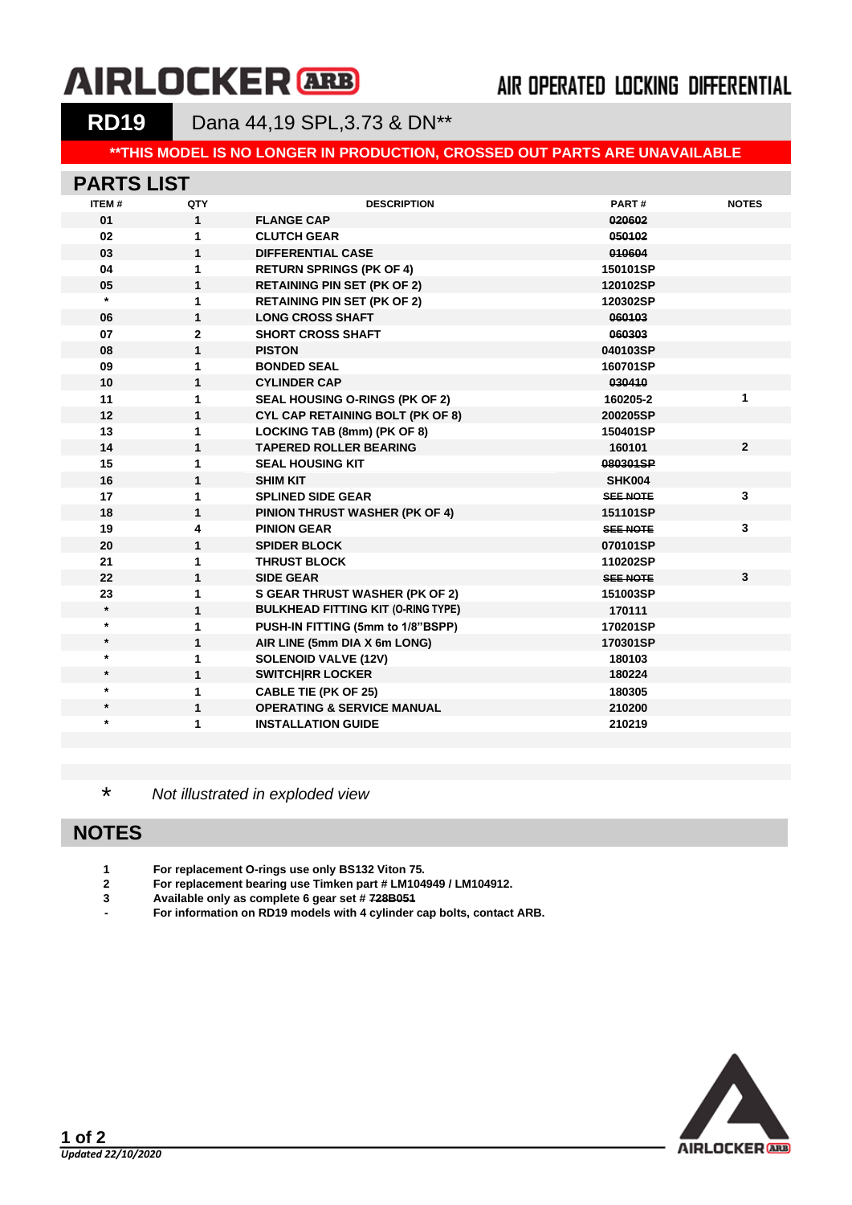# **AIRLOCKER ARB**

## AIR OPERATED LOCKING DIFFERENTIAL

**RD19** Dana 44,19 SPL,3.73 & DN\*\*

#### **\*\*THIS MODEL IS NO LONGER IN PRODUCTION, CROSSED OUT PARTS ARE UNAVAILABLE**

#### **PARTS LIST**

| ITEM#   | QTY          | <b>DESCRIPTION</b>                        | PART#           | <b>NOTES</b>   |
|---------|--------------|-------------------------------------------|-----------------|----------------|
| 01      | $\mathbf{1}$ | <b>FLANGE CAP</b>                         | 020602          |                |
| 02      | 1            | <b>CLUTCH GEAR</b>                        | 050102          |                |
| 03      | $\mathbf{1}$ | <b>DIFFERENTIAL CASE</b>                  | 010604          |                |
| 04      | 1            | <b>RETURN SPRINGS (PK OF 4)</b>           | 150101SP        |                |
| 05      | $\mathbf{1}$ | <b>RETAINING PIN SET (PK OF 2)</b>        | 120102SP        |                |
| $\star$ | 1            | <b>RETAINING PIN SET (PK OF 2)</b>        | 120302SP        |                |
| 06      | $\mathbf{1}$ | <b>LONG CROSS SHAFT</b>                   | 060103          |                |
| 07      | $\mathbf{2}$ | <b>SHORT CROSS SHAFT</b>                  | 060303          |                |
| 08      | $\mathbf{1}$ | <b>PISTON</b>                             | 040103SP        |                |
| 09      | 1            | <b>BONDED SEAL</b>                        | 160701SP        |                |
| 10      | $\mathbf{1}$ | <b>CYLINDER CAP</b>                       | 030410          |                |
| 11      | 1            | SEAL HOUSING O-RINGS (PK OF 2)            | 160205-2        | 1              |
| 12      | $\mathbf{1}$ | <b>CYL CAP RETAINING BOLT (PK OF 8)</b>   | 200205SP        |                |
| 13      | 1            | LOCKING TAB (8mm) (PK OF 8)               | 150401SP        |                |
| 14      | $\mathbf{1}$ | <b>TAPERED ROLLER BEARING</b>             | 160101          | $\overline{2}$ |
| 15      | 1            | <b>SEAL HOUSING KIT</b>                   | 080301SP        |                |
| 16      | $\mathbf{1}$ | <b>SHIM KIT</b>                           | SHK004          |                |
| 17      | 1            | <b>SPLINED SIDE GEAR</b>                  | <b>SEE NOTE</b> | 3              |
| 18      | $\mathbf{1}$ | <b>PINION THRUST WASHER (PK OF 4)</b>     | 151101SP        |                |
| 19      | 4            | <b>PINION GEAR</b>                        | <b>SEE NOTE</b> | 3              |
| 20      | 1            | <b>SPIDER BLOCK</b>                       | 070101SP        |                |
| 21      | 1            | <b>THRUST BLOCK</b>                       | 110202SP        |                |
| 22      | 1            | <b>SIDE GEAR</b>                          | <b>SEE NOTE</b> | $\mathbf{3}$   |
| 23      | 1            | <b>S GEAR THRUST WASHER (PK OF 2)</b>     | 151003SP        |                |
| $\star$ | $\mathbf{1}$ | <b>BULKHEAD FITTING KIT (O-RING TYPE)</b> | 170111          |                |
| $\star$ | 1            | PUSH-IN FITTING (5mm to 1/8"BSPP)         | 170201SP        |                |
| $\star$ | $\mathbf{1}$ | AIR LINE (5mm DIA X 6m LONG)              | 170301SP        |                |
| $\star$ | 1            | <b>SOLENOID VALVE (12V)</b>               | 180103          |                |
| $\star$ | $\mathbf{1}$ | <b>SWITCHIRR LOCKER</b>                   | 180224          |                |
| $\star$ | 1            | <b>CABLE TIE (PK OF 25)</b>               | 180305          |                |
| $\star$ | $\mathbf 1$  | <b>OPERATING &amp; SERVICE MANUAL</b>     | 210200          |                |
| $\star$ | 1            | <b>INSTALLATION GUIDE</b>                 | 210219          |                |
|         |              |                                           |                 |                |

\* *Not illustrated in exploded view*

### **NOTES**

**1 For replacement O-rings use only BS132 Viton 75.**

**2 For replacement bearing use Timken part # LM104949 / LM104912.**

- **3 Available only as complete 6 gear set # 728B051**
- **- For information on RD19 models with 4 cylinder cap bolts, contact ARB.**